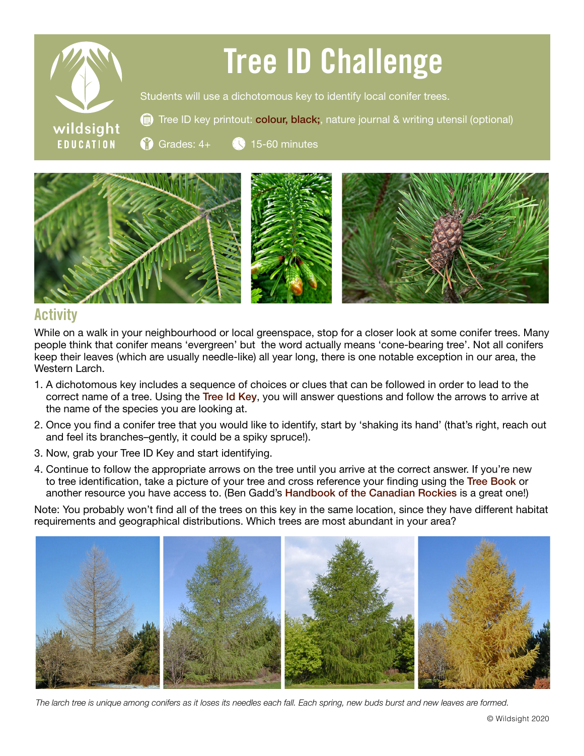

## Tree ID Challenge

Students will use a dichotomous key to identify local conifer trees.

Tree ID key printout: [colour](https://wildsight.ca/wp-content/uploads/2020/06/Tree-ID-key-green-updated.pdf), [black;](https://wildsight.ca/wp-content/uploads/2020/06/Tree-ID-Key-BLACK.pdf), nature journal & writing utensil (optional)

Grades: 4+ 15-60 minutes



## **Activity**

While on a walk in your neighbourhood or local greenspace, stop for a closer look at some conifer trees. Many people think that conifer means 'evergreen' but the word actually means 'cone-bearing tree'. Not all conifers keep their leaves (which are usually needle-like) all year long, there is one notable exception in our area, the Western Larch.

- 1. A dichotomous key includes a sequence of choices or clues that can be followed in order to lead to the correct name of a tree. Using the [Tree Id Key](https://wildsight.ca/wp-content/uploads/2020/06/Tree-ID-key-green-updated.pdf), you will answer questions and follow the arrows to arrive at the name of the species you are looking at.
- 2. Once you find a conifer tree that you would like to identify, start by 'shaking its hand' (that's right, reach out and feel its branches–gently, it could be a spiky spruce!).
- 3. Now, grab your Tree ID Key and start identifying.
- 4. Continue to follow the appropriate arrows on the tree until you arrive at the correct answer. If you're new to tree identification, take a picture of your tree and cross reference your finding using the Tree [Book](https://www.for.gov.bc.ca/hfd/library/documents/treebook/TreeBook.pdf) or another resource you have access to. (Ben Gadd's [Handbook of the Canadian Rockies](https://www.bengadd.com/handbook-of-the-canadian-rockies/) is a great one!)

Note: You probably won't find all of the trees on this key in the same location, since they have different habitat requirements and geographical distributions. Which trees are most abundant in your area?



*The larch tree is unique among conifers as it loses its needles each fall. Each spring, new buds burst and new leaves are formed.*